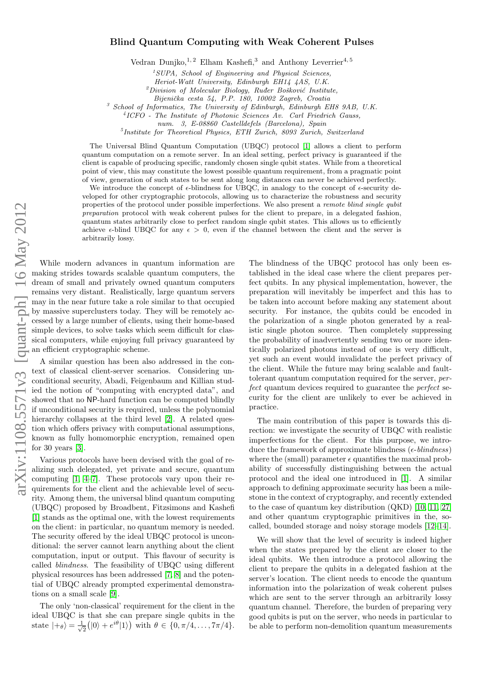## Blind Quantum Computing with Weak Coherent Pulses

Vedran Dunjko,  $1, 2$  Elham Kashefi, 3 and Anthony Leverrier<sup>4, 5</sup>

 $1$ SUPA, School of Engineering and Physical Sciences,

Heriot-Watt University, Edinburgh EH14 4AS, U.K.

 $^{2}$ Division of Molecular Biology, Ruđer Bošković Institute,

Bijenička cesta 54, P.P. 180, 10002 Zagreb, Croatia

 $3$  School of Informatics, The University of Edinburgh, Edinburgh EH8 9AB, U.K.

4 ICFO - The Institute of Photonic Sciences Av. Carl Friedrich Gauss,

num. 3, E-08860 Castelldefels (Barcelona), Spain

5 Institute for Theoretical Physics, ETH Zurich, 8093 Zurich, Switzerland

The Universal Blind Quantum Computation (UBQC) protocol [\[1\]](#page-14-0) allows a client to perform quantum computation on a remote server. In an ideal setting, perfect privacy is guaranteed if the client is capable of producing specific, randomly chosen single qubit states. While from a theoretical point of view, this may constitute the lowest possible quantum requirement, from a pragmatic point of view, generation of such states to be sent along long distances can never be achieved perfectly.

We introduce the concept of  $\epsilon$ -blindness for UBQC, in analogy to the concept of  $\epsilon$ -security developed for other cryptographic protocols, allowing us to characterize the robustness and security properties of the protocol under possible imperfections. We also present a remote blind single qubit preparation protocol with weak coherent pulses for the client to prepare, in a delegated fashion, quantum states arbitrarily close to perfect random single qubit states. This allows us to efficiently achieve  $\epsilon$ -blind UBQC for any  $\epsilon > 0$ , even if the channel between the client and the server is arbitrarily lossy.

While modern advances in quantum information are making strides towards scalable quantum computers, the dream of small and privately owned quantum computers remains very distant. Realistically, large quantum servers may in the near future take a role similar to that occupied by massive superclusters today. They will be remotely accessed by a large number of clients, using their home-based simple devices, to solve tasks which seem difficult for classical computers, while enjoying full privacy guaranteed by an efficient cryptographic scheme.

A similar question has been also addressed in the context of classical client-server scenarios. Considering unconditional security, Abadi, Feigenbaum and Killian studied the notion of "computing with encrypted data", and showed that no NP-hard function can be computed blindly if unconditional security is required, unless the polynomial hierarchy collapses at the third level [\[2\]](#page-14-1). A related question which offers privacy with computational assumptions, known as fully homomorphic encryption, remained open for 30 years  $[3]$ .

Various protocols have been devised with the goal of realizing such delegated, yet private and secure, quantum computing [\[1,](#page-14-0) [4–](#page-14-3)[7\]](#page-14-4). These protocols vary upon their requirements for the client and the achievable level of security. Among them, the universal blind quantum computing (UBQC) proposed by Broadbent, Fitzsimons and Kashefi [\[1\]](#page-14-0) stands as the optimal one, with the lowest requirements on the client: in particular, no quantum memory is needed. The security offered by the ideal UBQC protocol is unconditional: the server cannot learn anything about the client computation, input or output. This flavour of security is called blindness. The feasibility of UBQC using different physical resources has been addressed [\[7,](#page-14-4) [8\]](#page-14-5) and the potential of UBQC already prompted experimental demonstrations on a small scale [\[9\]](#page-14-6).

The only 'non-classical' requirement for the client in the ideal UBQC is that she can prepare single qubits in the state  $|+\theta\rangle = \frac{1}{\sqrt{2}}$  $\frac{1}{2}(|0\rangle + e^{i\theta}|1\rangle)$  with  $\theta \in \{0, \pi/4, \dots, 7\pi/4\}.$ 

The blindness of the UBQC protocol has only been established in the ideal case where the client prepares perfect qubits. In any physical implementation, however, the preparation will inevitably be imperfect and this has to be taken into account before making any statement about security. For instance, the qubits could be encoded in the polarization of a single photon generated by a realistic single photon source. Then completely suppressing the probability of inadvertently sending two or more identically polarized photons instead of one is very difficult, yet such an event would invalidate the perfect privacy of the client. While the future may bring scalable and faulttolerant quantum computation required for the server, perfect quantum devices required to guarantee the perfect security for the client are unlikely to ever be achieved in practice.

The main contribution of this paper is towards this direction: we investigate the security of UBQC with realistic imperfections for the client. For this purpose, we introduce the framework of approximate blindness ( $\epsilon$ -blindness) where the (small) parameter  $\epsilon$  quantifies the maximal probability of successfully distinguishing between the actual protocol and the ideal one introduced in [\[1\]](#page-14-0). A similar approach to defining approximate security has been a milestone in the context of cryptography, and recently extended to the case of quantum key distribution (QKD) [\[10,](#page-14-7) [11,](#page-14-8) [27\]](#page-14-9) and other quantum cryptographic primitives in the, socalled, bounded storage and noisy storage models [\[12–](#page-14-10)[14\]](#page-14-11).

We will show that the level of security is indeed higher when the states prepared by the client are closer to the ideal qubits. We then introduce a protocol allowing the client to prepare the qubits in a delegated fashion at the server's location. The client needs to encode the quantum information into the polarization of weak coherent pulses which are sent to the server through an arbitrarily lossy quantum channel. Therefore, the burden of preparing very good qubits is put on the server, who needs in particular to be able to perform non-demolition quantum measurements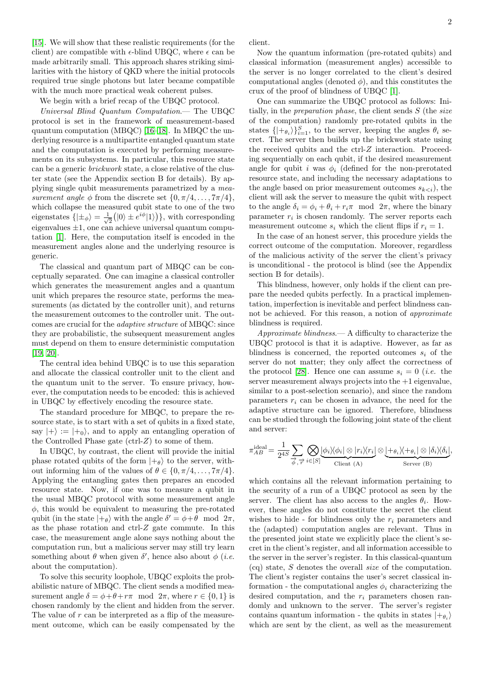[\[15\]](#page-14-12). We will show that these realistic requirements (for the client) are compatible with  $\epsilon$ -blind UBQC, where  $\epsilon$  can be made arbitrarily small. This approach shares striking similarities with the history of QKD where the initial protocols required true single photons but later became compatible with the much more practical weak coherent pulses.

We begin with a brief recap of the UBQC protocol.

Universal Blind Quantum Computation.— The UBQC protocol is set in the framework of measurement-based quantum computation (MBQC) [\[16](#page-14-13)[–18\]](#page-14-14). In MBQC the underlying resource is a multipartite entangled quantum state and the computation is executed by performing measurements on its subsystems. In particular, this resource state can be a generic brickwork state, a close relative of the cluster state (see the Appendix section B for details). By applying single qubit measurements parametrized by a measurement angle  $\phi$  from the discrete set  $\{0, \pi/4, \ldots, 7\pi/4\},\$ which collapse the measured qubit state to one of the two eigenstates  $\{\ket{\pm_\phi} = \frac{1}{\sqrt{2}}\}$  $\frac{1}{2}(|0\rangle \pm e^{i\phi}|1\rangle)$ , with corresponding eigenvalues  $\pm 1$ , one can achieve universal quantum computation [\[1\]](#page-14-0). Here, the computation itself is encoded in the measurement angles alone and the underlying resource is generic.

The classical and quantum part of MBQC can be conceptually separated. One can imagine a classical controller which generates the measurement angles and a quantum unit which prepares the resource state, performs the measurements (as dictated by the controller unit), and returns the measurement outcomes to the controller unit. The outcomes are crucial for the adaptive structure of MBQC: since they are probabilistic, the subsequent measurement angles must depend on them to ensure deterministic computation [\[19,](#page-14-15) [20\]](#page-14-16).

The central idea behind UBQC is to use this separation and allocate the classical controller unit to the client and the quantum unit to the server. To ensure privacy, however, the computation needs to be encoded: this is achieved in UBQC by effectively encoding the resource state.

The standard procedure for MBQC, to prepare the resource state, is to start with a set of qubits in a fixed state, say  $|+\rangle := |+_{0}\rangle$ , and to apply an entangling operation of the Controlled Phase gate  $(\text{ctrl-}Z)$  to some of them.

In UBQC, by contrast, the client will provide the initial phase rotated qubits of the form  $|+\theta\rangle$  to the server, without informing him of the values of  $\theta \in \{0, \pi/4, \ldots, 7\pi/4\}.$ Applying the entangling gates then prepares an encoded resource state. Now, if one was to measure a qubit in the usual MBQC protocol with some measurement angle  $\phi$ , this would be equivalent to measuring the pre-rotated qubit (in the state  $|+\theta\rangle$  with the angle  $\delta' = \phi + \theta \mod 2\pi$ , as the phase rotation and ctrl-Z gate commute. In this case, the measurement angle alone says nothing about the computation run, but a malicious server may still try learn something about  $\theta$  when given  $\delta'$ , hence also about  $\phi$  (*i.e.* about the computation).

To solve this security loophole, UBQC exploits the probabilistic nature of MBQC. The client sends a modified measurement angle  $\delta = \phi + \theta + r\pi \mod 2\pi$ , where  $r \in \{0, 1\}$  is chosen randomly by the client and hidden from the server. The value of r can be interpreted as a flip of the measurement outcome, which can be easily compensated by the client.

Now the quantum information (pre-rotated qubits) and classical information (measurement angles) accessible to the server is no longer correlated to the client's desired computational angles (denoted  $\phi$ ), and this constitutes the crux of the proof of blindness of UBQC [\[1\]](#page-14-0).

One can summarize the UBQC protocol as follows: Initially, in the *preparation phase*, the client sends  $S$  (the *size* of the computation) randomly pre-rotated qubits in the states  $\{|+_{\theta_i}\rangle\}_{i=1}^S$ , to the server, keeping the angles  $\theta_i$  secret. The server then builds up the brickwork state using the received qubits and the ctrl-Z interaction. Proceeding sequentially on each qubit, if the desired measurement angle for qubit i was  $\phi_i$  (defined for the non-prerotated resource state, and including the necessary adaptations to the angle based on prior measurement outcomes  $s_{k\langle i \rangle}$ , the client will ask the server to measure the qubit with respect to the angle  $\delta_i = \phi_i + \theta_i + r_i \pi \mod 2\pi$ , where the binary parameter  $r_i$  is chosen randomly. The server reports each measurement outcome  $s_i$  which the client flips if  $r_i = 1$ .

In the case of an honest server, this procedure yields the correct outcome of the computation. Moreover, regardless of the malicious activity of the server the client's privacy is unconditional - the protocol is blind (see the Appendix section B for details).

This blindness, however, only holds if the client can prepare the needed qubits perfectly. In a practical implementation, imperfection is inevitable and perfect blindness cannot be achieved. For this reason, a notion of *approximate* blindness is required.

Approximate blindness.— A difficulty to characterize the UBQC protocol is that it is adaptive. However, as far as blindness is concerned, the reported outcomes  $s_i$  of the server do not matter; they only affect the correctness of the protocol [\[28\]](#page-14-17). Hence one can assume  $s_i = 0$  (*i.e.* the server measurement always projects into the  $+1$  eigenvalue, similar to a post-selection scenario), and since the random parameters  $r_i$  can be chosen in advance, the need for the adaptive structure can be ignored. Therefore, blindness can be studied through the following joint state of the client and server:

$$
\pi_{AB}^{\text{ideal}} = \frac{1}{2^{4S}} \sum_{\phi} \sum_{\vec{r}} \bigotimes_{i \in [S]} \underbrace{\phi_i \rangle \langle \phi_i | \otimes |r_i \rangle \langle r_i|}_{\text{Client (A)}} \otimes \underbrace{|+_{\theta_i} \rangle \langle +_{\theta_i} | \otimes |\delta_i \rangle \langle \delta_i|}_{\text{Server (B)}},
$$

which contains all the relevant information pertaining to the security of a run of a UBQC protocol as seen by the server. The client has also access to the angles  $\theta_i$ . However, these angles do not constitute the secret the client wishes to hide - for blindness only the  $r_i$  parameters and the (adapted) computation angles are relevant. Thus in the presented joint state we explicitly place the client's secret in the client's register, and all information accessible to the server in the server's register. In this classical-quantum (cq) state, S denotes the overall size of the computation. The client's register contains the user's secret classical information - the computational angles  $\phi_i$  characterizing the desired computation, and the  $r_i$  parameters chosen randomly and unknown to the server. The server's register contains quantum information - the qubits in states  $|+_{\theta_i}\rangle$ which are sent by the client, as well as the measurement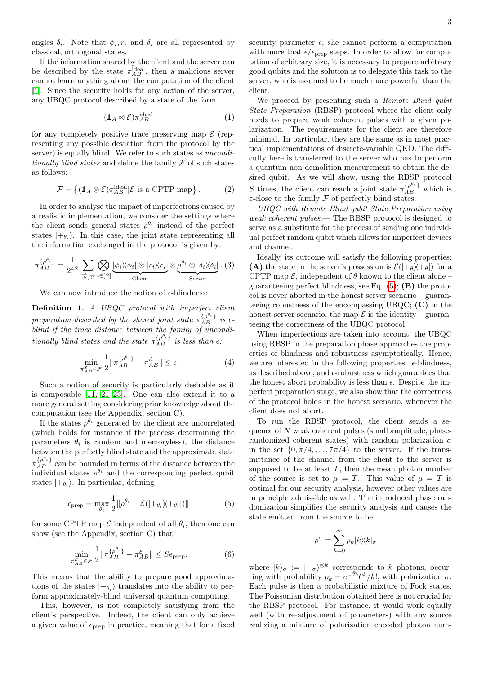angles  $\delta_i$ . Note that  $\phi_i, r_i$  and  $\delta_i$  are all represented by classical, orthogonal states.

If the information shared by the client and the server can be described by the state  $\pi_{AB}^{ideal}$ , then a malicious server cannot learn anything about the computation of the client [\[1\]](#page-14-0). Since the security holds for any action of the server, any UBQC protocol described by a state of the form

$$
(\mathbb{1}_A \otimes \mathcal{E}) \pi_{AB}^{\text{ideal}} \tag{1}
$$

for any completely positive trace preserving map  $\mathcal E$  (representing any possible deviation from the protocol by the server) is equally blind. We refer to such states as *uncondi*tionally blind states and define the family  $\mathcal F$  of such states as follows:

$$
\mathcal{F} = \left\{ (\mathbb{1}_A \otimes \mathcal{E}) \pi_{AB}^{\text{ideal}} | \mathcal{E} \text{ is a CPTP map} \right\}. \tag{2}
$$

In order to analyse the impact of imperfections caused by a realistic implementation, we consider the settings where the client sends general states  $\rho^{\theta_i}$  instead of the perfect states  $|+_{\theta_i}\rangle$ . In this case, the joint state representing all the information exchanged in the protocol is given by:

$$
\pi_{AB}^{\{\rho^{\theta_i}\}} = \frac{1}{2^{4S}} \sum_{\vec{\phi}, \vec{\tau}'} \bigotimes_{i \in [S]} \underbrace{|\phi_i\rangle\langle\phi_i| \otimes |r_i\rangle\langle r_i|}_{\text{Client}} \otimes \underbrace{\rho^{\theta_i} \otimes |\delta_i\rangle\langle\delta_i|}_{\text{Server}}.
$$
 (3)

We can now introduce the notion of  $\epsilon$ -blindness:

Definition 1. A UBQC protocol with imperfect client preparation described by the shared joint state  $\pi_{AB}^{\{\rho^{\theta_i}\}}$  is  $\epsilon$ blind if the trace distance between the family of unconditionally blind states and the state  $\pi_{AB}^{\{\rho^{\theta_i}\}}$  is less than  $\epsilon$ .

$$
\min_{\pi_{AB}^{\mathcal{E}} \in \mathcal{F}} \frac{1}{2} \| \pi_{AB}^{\{\rho^{\theta_i}\}} - \pi_{AB}^{\mathcal{E}} \| \le \epsilon \tag{4}
$$

Such a notion of security is particularly desirable as it is composable [\[11,](#page-14-8) [21](#page-14-18)[–23\]](#page-14-19). One can also extend it to a more general setting considering prior knowledge about the computation (see the Appendix, section C).

If the states  $\rho^{\theta_i}$  generated by the client are uncorrelated (which holds for instance if the process determining the parameters  $\theta_i$  is random and memoryless), the distance between the perfectly blind state and the approximate state  $\pi_{AB}^{\{\rho^{\theta_i}\}}$  can be bounded in terms of the distance between the individual states  $\rho^{\theta_i}$  and the corresponding perfect qubit states  $|+_{\theta_i}\rangle$ . In particular, defining

<span id="page-2-0"></span>
$$
\epsilon_{\text{prep}} = \max_{\theta_i} \frac{1}{2} ||\rho^{\theta_i} - \mathcal{E}(|+\theta_i\rangle\langle +\theta_i|)|| \tag{5}
$$

for some CPTP map  $\mathcal E$  independent of all  $\theta_i$ , then one can show (see the Appendix, section C) that

<span id="page-2-1"></span>
$$
\min_{\pi_{AB}^{\mathcal{E}} \in \mathcal{F}} \frac{1}{2} \| \pi_{AB}^{\{\rho^{\theta_i}\}} - \pi_{AB}^{\mathcal{E}} \| \le S \epsilon_{\text{prep}}.
$$
 (6)

This means that the ability to prepare good approximations of the states  $|+_{\theta_i}\rangle$  translates into the ability to perform approximately-blind universal quantum computing.

This, however, is not completely satisfying from the client's perspective. Indeed, the client can only achieve a given value of  $\epsilon_{\text{prep}}$  in practice, meaning that for a fixed security parameter  $\epsilon$ , she cannot perform a computation with more that  $\epsilon/\epsilon_{\text{prep}}$  steps. In order to allow for computation of arbitrary size, it is necessary to prepare arbitrary good qubits and the solution is to delegate this task to the server, who is assumed to be much more powerful than the client.

We proceed by presenting such a Remote Blind qubit State Preparation (RBSP) protocol where the client only needs to prepare weak coherent pulses with a given polarization. The requirements for the client are therefore minimal. In particular, they are the same as in most practical implementations of discrete-variable QKD. The difficulty here is transferred to the server who has to perform a quantum non-demolition measurement to obtain the desired qubit. As we will show, using the RBSP protocol S times, the client can reach a joint state  $\pi_{AB}^{\{\rho^{\theta_i}\}}$  which is  $\varepsilon$ -close to the family  $\mathcal F$  of perfectly blind states.

UBQC with Remote Blind qubit State Preparation using weak coherent pulses.— The RBSP protocol is designed to serve as a substitute for the process of sending one individual perfect random qubit which allows for imperfect devices and channel.

Ideally, its outcome will satisfy the following properties: (A) the state in the server's possession is  $\mathcal{E}(|+\theta\rangle+\theta|)$  for a CPTP map  $\mathcal{E}$ , independent of  $\theta$  known to the client alone – guaranteeing perfect blindness, see Eq.  $(5)$ ;  $(B)$  the protocol is never aborted in the honest server scenario – guaranteeing robustness of the encompassing UBQC; (C) in the honest server scenario, the map  $\mathcal E$  is the identity – guaranteeing the correctness of the UBQC protocol.

When imperfections are taken into account, the UBQC using RBSP in the preparation phase approaches the properties of blindness and robustness asymptotically. Hence, we are interested in the following properties:  $\epsilon$ -blindness, as described above, and  $\epsilon$ -robustness which guarantees that the honest abort probability is less than  $\epsilon$ . Despite the imperfect preparation stage, we also show that the correctness of the protocol holds in the honest scenario, whenever the client does not abort.

To run the RBSP protocol, the client sends a sequence of N weak coherent pulses (small amplitude, phaserandomized coherent states) with random polarization  $\sigma$ in the set  $\{0, \pi/4, \ldots, 7\pi/4\}$  to the server. If the transmittance of the channel from the client to the server is supposed to be at least  $T$ , then the mean photon number of the source is set to  $\mu = T$ . This value of  $\mu = T$  is optimal for our security analysis, however other values are in principle admissible as well. The introduced phase randomization simplifies the security analysis and causes the state emitted from the source to be:

<span id="page-2-2"></span>
$$
\rho^{\sigma}=\sum_{k=0}^{\infty}p_{k}|k\rangle\!\langle k|_{\sigma}
$$

where  $|k\rangle_{\sigma} := |+\sigma\rangle^{\otimes k}$  corresponds to k photons, occurring with probability  $p_k = e^{-T}T^k/k!$ , with polarization  $\sigma$ . Each pulse is then a probabilistic mixture of Fock states. The Poissonian distribution obtained here is not crucial for the RBSP protocol. For instance, it would work equally well (with re-adjustment of parameters) with any source realizing a mixture of polarization encoded photon num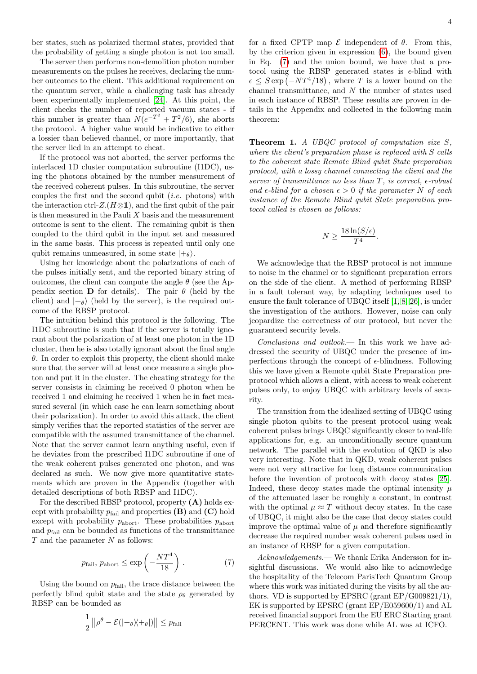ber states, such as polarized thermal states, provided that the probability of getting a single photon is not too small.

The server then performs non-demolition photon number measurements on the pulses he receives, declaring the number outcomes to the client. This additional requirement on the quantum server, while a challenging task has already been experimentally implemented [\[24\]](#page-14-20). At this point, the client checks the number of reported vacuum states - if this number is greater than  $N(e^{-T^2} + T^2/6)$ , she aborts the protocol. A higher value would be indicative to either a lossier than believed channel, or more importantly, that the server lied in an attempt to cheat.

If the protocol was not aborted, the server performs the interlaced 1D cluster computation subroutine (I1DC), using the photons obtained by the number measurement of the received coherent pulses. In this subroutine, the server couples the first and the second qubit  $(i.e.$  photons) with the interaction ctrl- $Z.(H \otimes \mathbb{1})$ , and the first qubit of the pair is then measured in the Pauli  $X$  basis and the measurement outcome is sent to the client. The remaining qubit is then coupled to the third qubit in the input set and measured in the same basis. This process is repeated until only one qubit remains unmeasured, in some state  $|+_{\theta}\rangle$ .

Using her knowledge about the polarizations of each of the pulses initially sent, and the reported binary string of outcomes, the client can compute the angle  $\theta$  (see the Appendix section **D** for details). The pair  $\theta$  (held by the client) and  $|+\theta\rangle$  (held by the server), is the required outcome of the RBSP protocol.

The intuition behind this protocol is the following. The I1DC subroutine is such that if the server is totally ignorant about the polarization of at least one photon in the 1D cluster, then he is also totally ignorant about the final angle  $\theta$ . In order to exploit this property, the client should make sure that the server will at least once measure a single photon and put it in the cluster. The cheating strategy for the server consists in claiming he received 0 photon when he received 1 and claiming he received 1 when he in fact measured several (in which case he can learn something about their polarization). In order to avoid this attack, the client simply verifies that the reported statistics of the server are compatible with the assumed transmittance of the channel. Note that the server cannot learn anything useful, even if he deviates from the prescribed I1DC subroutine if one of the weak coherent pulses generated one photon, and was declared as such. We now give more quantitative statements which are proven in the Appendix (together with detailed descriptions of both RBSP and I1DC).

For the described RBSP protocol, property (A) holds except with probability  $p_{\text{fail}}$  and properties  $(\mathbf{B})$  and  $(\mathbf{C})$  hold except with probability  $p_{\text{abort}}$ . These probabilities  $p_{\text{abort}}$ and  $p_{\text{fail}}$  can be bounded as functions of the transmittance  $T$  and the parameter  $N$  as follows:

$$
p_{\text{fail}}, \, p_{\text{abort}} \le \exp\left(-\frac{NT^4}{18}\right) \,. \tag{7}
$$

Using the bound on  $p_{\text{fail}}$ , the trace distance between the perfectly blind qubit state and the state  $\rho_{\theta}$  generated by RBSP can be bounded as

<span id="page-3-0"></span>
$$
\frac{1}{2} ||\rho^{\theta} - \mathcal{E}(|+\theta\rangle\langle+\theta|)|| \leq p_{\text{fail}}
$$

for a fixed CPTP map  $\mathcal E$  independent of  $\theta$ . From this, by the criterion given in expression [\(6\)](#page-2-1), the bound given in Eq. [\(7\)](#page-2-2) and the union bound, we have that a protocol using the RBSP generated states is  $\epsilon$ -blind with  $\epsilon \leq S \exp(-NT^4/18)$ , where T is a lower bound on the channel transmittance, and  $N$  the number of states used in each instance of RBSP. These results are proven in details in the Appendix and collected in the following main theorem:

**Theorem 1.** A UBQC protocol of computation size  $S$ , where the client's preparation phase is replaced with S calls to the coherent state Remote Blind qubit State preparation protocol, with a lossy channel connecting the client and the server of transmittance no less than  $T$ , is correct,  $\epsilon$ -robust and  $\epsilon$ -blind for a chosen  $\epsilon > 0$  if the parameter N of each instance of the Remote Blind qubit State preparation protocol called is chosen as follows:

$$
N \ge \frac{18\ln(S/\epsilon)}{T^4}.
$$

We acknowledge that the RBSP protocol is not immune to noise in the channel or to significant preparation errors on the side of the client. A method of performing RBSP in a fault tolerant way, by adapting techniques used to ensure the fault tolerance of UBQC itself [\[1,](#page-14-0) [8,](#page-14-5) [26\]](#page-14-21), is under the investigation of the authors. However, noise can only jeopardize the correctness of our protocol, but never the guaranteed security levels.

Conclusions and outlook.— In this work we have addressed the security of UBQC under the presence of imperfections through the concept of  $\epsilon$ -blindness. Following this we have given a Remote qubit State Preparation preprotocol which allows a client, with access to weak coherent pulses only, to enjoy UBQC with arbitrary levels of security.

The transition from the idealized setting of UBQC using single photon qubits to the present protocol using weak coherent pulses brings UBQC significantly closer to real-life applications for, e.g. an unconditionally secure quantum network. The parallel with the evolution of QKD is also very interesting. Note that in QKD, weak coherent pulses were not very attractive for long distance communication before the invention of protocols with decoy states [\[25\]](#page-14-22). Indeed, these decoy states made the optimal intensity  $\mu$ of the attenuated laser be roughly a constant, in contrast with the optimal  $\mu \approx T$  without decoy states. In the case of UBQC, it might also be the case that decoy states could improve the optimal value of  $\mu$  and therefore significantly decrease the required number weak coherent pulses used in an instance of RBSP for a given computation.

Acknowledgements.— We thank Erika Andersson for insightful discussions. We would also like to acknowledge the hospitality of the Telecom ParisTech Quantum Group where this work was initiated during the visits by all the authors. VD is supported by EPSRC (grant EP/G009821/1), EK is supported by EPSRC (grant EP/E059600/1) and AL received financial support from the EU ERC Starting grant PERCENT. This work was done while AL was at ICFO.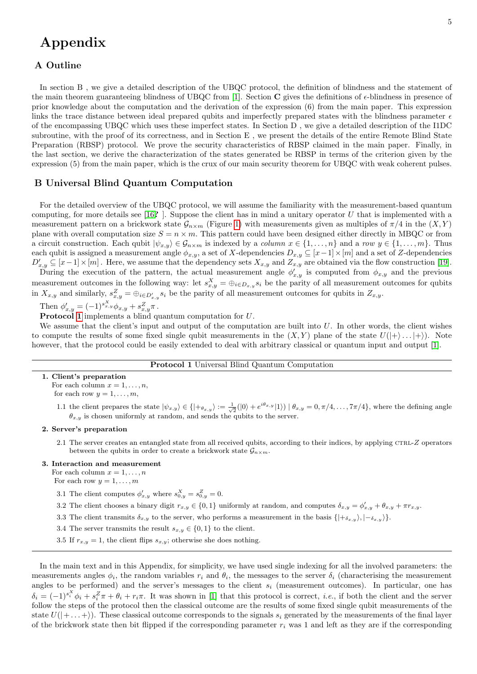# Appendix

# A Outline

In section B , we give a detailed description of the UBQC protocol, the definition of blindness and the statement of the main theorem guaranteeing blindness of UBQC from [\[1\]](#page-14-0). Section C gives the definitions of  $\epsilon$ -blindness in presence of prior knowledge about the computation and the derivation of the expression (6) from the main paper. This expression links the trace distance between ideal prepared qubits and imperfectly prepared states with the blindness parameter  $\epsilon$ of the encompassing UBQC which uses these imperfect states. In Section D , we give a detailed description of the I1DC subroutine, with the proof of its correctness, and in Section E , we present the details of the entire Remote Blind State Preparation (RBSP) protocol. We prove the security characteristics of RBSP claimed in the main paper. Finally, in the last section, we derive the characterization of the states generated be RBSP in terms of the criterion given by the expression (5) from the main paper, which is the crux of our main security theorem for UBQC with weak coherent pulses.

# B Universal Blind Quantum Computation

For the detailed overview of the UBQC protocol, we will assume the familiarity with the measurement-based quantum computing, for more details see [\[16](#page-14-13)?]. Suppose the client has in mind a unitary operator  $U$  that is implemented with a measurement pattern on a brickwork state  $\mathcal{G}_{n\times m}$  (Figure [1\)](#page-5-0) with measurements given as multiples of  $\pi/4$  in the  $(X, Y)$ plane with overall computation size  $S = n \times m$ . This pattern could have been designed either directly in MBQC or from a circuit construction. Each qubit  $|\psi_{x,y}\rangle \in \mathcal{G}_{n \times m}$  is indexed by a *column*  $x \in \{1, \ldots, n\}$  and a row  $y \in \{1, \ldots, m\}$ . Thus each qubit is assigned a measurement angle  $\phi_{x,y}$ , a set of X-dependencies  $D_{x,y} \subseteq [x-1] \times [m]$  and a set of Z-dependencies  $D'_{x,y} \subseteq [x-1] \times [m]$ . Here, we assume that the dependency sets  $X_{x,y}$  and  $Z_{x,y}$  are obtained via the flow construction [\[19\]](#page-14-15).

During the execution of the pattern, the actual measurement angle  $\phi'_{x,y}$  is computed from  $\phi_{x,y}$  and the previous measurement outcomes in the following way: let  $s_{x,y}^X = \bigoplus_{i \in D_{x,y}} s_i$  be the parity of all measurement outcomes for qubits in  $X_{x,y}$  and similarly,  $s_{x,y}^Z = \bigoplus_{i \in D'_{x,y}} s_i$  be the parity of all measurement outcomes for qubits in  $Z_{x,y}$ .

Then  $\phi'_{x,y} = (-1)^{s_{x,y}^X} \phi_{x,y} + s_{x,y}^Z \pi$ .

Protocol [1](#page-4-0) implements a blind quantum computation for U.

We assume that the client's input and output of the computation are built into  $U$ . In other words, the client wishes to compute the results of some fixed single qubit measurements in the  $(X, Y)$  plane of the state  $U(|+\rangle \dots |+\rangle)$ . Note however, that the protocol could be easily extended to deal with arbitrary classical or quantum input and output [\[1\]](#page-14-0).

## Protocol 1 Universal Blind Quantum Computation

- <span id="page-4-0"></span>1. Client's preparation For each column  $x = 1, \ldots, n$ , for each row  $y = 1, \ldots, m$ ,
	- 1.1 the client prepares the state  $|\psi_{x,y}\rangle \in \{ |+_{\theta_{x,y}}\rangle := \frac{1}{\sqrt{2}}(|0\rangle + e^{i\theta_{x,y}}|1\rangle) | \theta_{x,y} = 0, \pi/4, \ldots, 7\pi/4 \},$  where the defining angle  $\theta_{x,y}$  is chosen uniformly at random, and sends the qubits to the server.

## 2. Server's preparation

- 2.1 The server creates an entangled state from all received qubits, according to their indices, by applying CTRL-Z operators between the qubits in order to create a brickwork state  $\mathcal{G}_{n \times m}$ .
- 3. Interaction and measurement

For each column  $x = 1, \ldots, n$ For each row  $y = 1, \ldots, m$ 

- 3.1 The client computes  $\phi'_{x,y}$  where  $s_{0,y}^X = s_{0,y}^Z = 0$ .
- 3.2 The client chooses a binary digit  $r_{x,y} \in \{0,1\}$  uniformly at random, and computes  $\delta_{x,y} = \phi'_{x,y} + \theta_{x,y} + \pi r_{x,y}$ .
- 3.3 The client transmits  $\delta_{x,y}$  to the server, who performs a measurement in the basis  $\{|+_{\delta_{x,y}}\rangle, |-_{\delta_{x,y}}\rangle\}.$
- 3.4 The server transmits the result  $s_{x,y} \in \{0,1\}$  to the client.
- 3.5 If  $r_{x,y} = 1$ , the client flips  $s_{x,y}$ ; otherwise she does nothing.

In the main text and in this Appendix, for simplicity, we have used single indexing for all the involved parameters: the measurements angles  $\phi_i$ , the random variables  $r_i$  and  $\theta_i$ , the messages to the server  $\delta_i$  (characterising the measurement angles to be performed) and the server's messages to the client  $s_i$  (measurement outcomes). In particular, one has  $\delta_i = (-1)^{s_i^X} \phi_i + s_i^Z \pi + \theta_i + r_i \pi$ . It was shown in [\[1\]](#page-14-0) that this protocol is correct, *i.e.*, if both the client and the server follow the steps of the protocol then the classical outcome are the results of some fixed single qubit measurements of the state  $U(|+...+\rangle)$ . These classical outcome corresponds to the signals  $s_i$  generated by the measurements of the final layer of the brickwork state then bit flipped if the corresponding parameter  $r_i$  was 1 and left as they are if the corresponding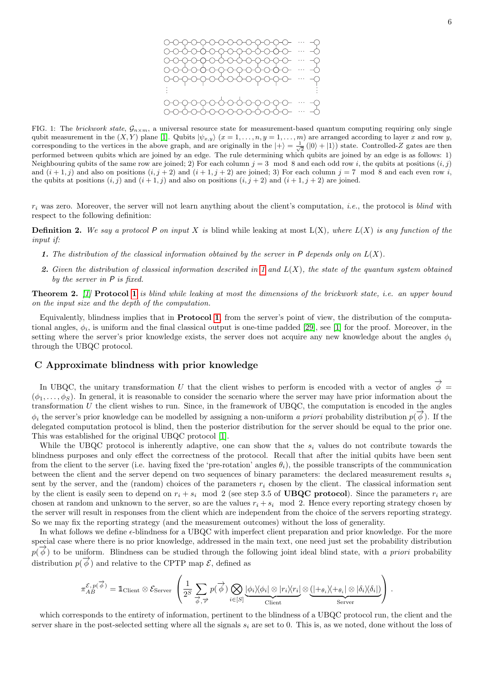

<span id="page-5-0"></span>FIG. 1: The brickwork state,  $\mathcal{G}_{n\times m}$ , a universal resource state for measurement-based quantum computing requiring only single qubit measurement in the  $(X, Y)$  plane [\[1\]](#page-14-0). Qubits  $|\psi_{x,y}\rangle$   $(x = 1, \ldots, n, y = 1, \ldots, m)$  are arranged according to layer x and row y, corresponding to the vertices in the above graph, and are originally in the  $|+\rangle = \frac{1}{\sqrt{2}} (|0\rangle + |1\rangle)$  state. Controlled-Z gates are then performed between qubits which are joined by an edge. The rule determining which qubits are joined by an edge is as follows: 1) Neighbouring qubits of the same row are joined; 2) For each column  $j = 3 \mod 8$  and each odd row i, the qubits at positions  $(i, j)$ and  $(i+1, j)$  and also on positions  $(i, j+2)$  and  $(i+1, j+2)$  are joined; 3) For each column  $j = 7 \mod 8$  and each even row i, the qubits at positions  $(i, j)$  and  $(i + 1, j)$  and also on positions  $(i, j + 2)$  and  $(i + 1, j + 2)$  are joined.

 $r_i$  was zero. Moreover, the server will not learn anything about the client's computation, *i.e.*, the protocol is *blind* with respect to the following definition:

**Definition 2.** We say a protocol P on input X is blind while leaking at most  $L(X)$ , where  $L(X)$  is any function of the input if:

- <span id="page-5-1"></span>1. The distribution of the classical information obtained by the server in  $P$  depends only on  $L(X)$ .
- 2. Given the distribution of classical information described in [1](#page-5-1) and  $L(X)$ , the state of the quantum system obtained by the server in P is fixed.

**Theorem 2.** [\[1\]](#page-14-0) **Protocol [1](#page-4-0)** is blind while leaking at most the dimensions of the brickwork state, i.e. an upper bound on the input size and the depth of the computation.

Equivalently, blindness implies that in Protocol [1](#page-4-0), from the server's point of view, the distribution of the computational angles,  $\phi_i$ , is uniform and the final classical output is one-time padded [\[29\]](#page-14-23), see [\[1\]](#page-14-0) for the proof. Moreover, in the setting where the server's prior knowledge exists, the server does not acquire any new knowledge about the angles  $\phi_i$ through the UBQC protocol.

## C Approximate blindness with prior knowledge

In UBQC, the unitary transformation U that the client wishes to perform is encoded with a vector of angles  $\vec{\phi}$  =  $(\phi_1, \ldots, \phi_s)$ . In general, it is reasonable to consider the scenario where the server may have prior information about the transformation  $U$  the client wishes to run. Since, in the framework of UBQC, the computation is encoded in the angles  $\phi_i$  the server's prior knowledge can be modelled by assigning a non-uniform *a priori* probability distribution  $p(\vec{\phi})$ . If the delegated computation protocol is blind, then the posterior distribution for the server should be equal to the prior one. This was established for the original UBQC protocol [\[1\]](#page-14-0).

While the UBQC protocol is inherently adaptive, one can show that the  $s_i$  values do not contribute towards the blindness purposes and only effect the correctness of the protocol. Recall that after the initial qubits have been sent from the client to the server (i.e. having fixed the 'pre-rotation' angles  $\theta_i$ ), the possible transcripts of the communication between the client and the server depend on two sequences of binary parameters: the declared measurement results  $s_i$ sent by the server, and the (random) choices of the parameters  $r_i$  chosen by the client. The classical information sent by the client is easily seen to depend on  $r_i + s_i \mod 2$  (see step 3.5 of UBQC protocol). Since the parameters  $r_i$  are chosen at random and unknown to the server, so are the values  $r_i + s_i \mod 2$ . Hence every reporting strategy chosen by the server will result in responses from the client which are independent from the choice of the servers reporting strategy. So we may fix the reporting strategy (and the measurement outcomes) without the loss of generality.

In what follows we define  $\epsilon$ -blindness for a UBQC with imperfect client preparation and prior knowledge. For the more special case where there is no prior knowledge, addressed in the main text, one need just set the probability distribution  $p(\vec{\phi})$  to be uniform. Blindness can be studied through the following joint ideal blind state, with a priori probability distribution  $p(\vec{\phi})$  and relative to the CPTP map  $\mathcal{E}$ , defined as

$$
\pi_{AB}^{\mathcal{E},p(\overrightarrow{\phi})} = \mathbb{1}_{\text{Client}} \otimes \mathcal{E}_{\text{Server}} \left( \frac{1}{2^S} \sum_{\overrightarrow{\phi},\overrightarrow{r}} p(\overrightarrow{\phi}) \bigotimes_{i \in [S]} \underbrace{|\phi_i\rangle\langle\phi_i| \otimes |r_i\rangle\langle r_i|}_{\text{Client}} \otimes \underbrace{(|+_{\theta_i}\rangle\langle+_{\theta_i}| \otimes |\delta_i\rangle\langle\delta_i|)}_{\text{Server}} \right).
$$

which corresponds to the entirety of information, pertinent to the blindness of a UBQC protocol run, the client and the server share in the post-selected setting where all the signals  $s_i$  are set to 0. This is, as we noted, done without the loss of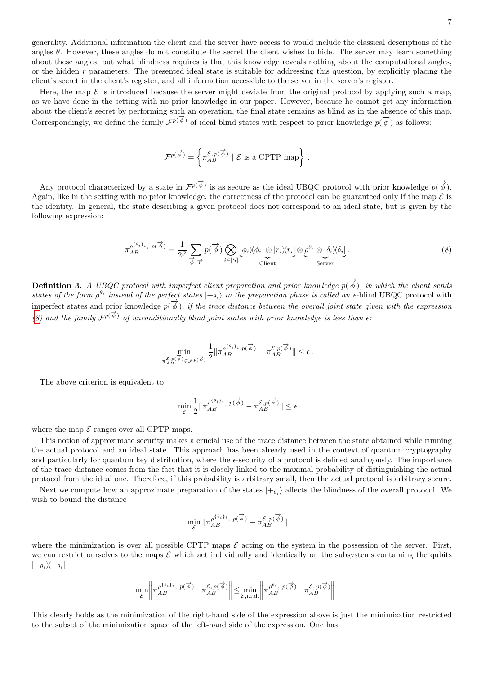generality. Additional information the client and the server have access to would include the classical descriptions of the angles  $\theta$ . However, these angles do not constitute the secret the client wishes to hide. The server may learn something about these angles, but what blindness requires is that this knowledge reveals nothing about the computational angles, or the hidden  $r$  parameters. The presented ideal state is suitable for addressing this question, by explicitly placing the client's secret in the client's register, and all information accessible to the server in the server's register.

Here, the map  $\mathcal E$  is introduced because the server might deviate from the original protocol by applying such a map, as we have done in the setting with no prior knowledge in our paper. However, because he cannot get any information about the client's secret by performing such an operation, the final state remains as blind as in the absence of this map. Correspondingly, we define the family  $\mathcal{F}^{p(\vec{\phi})}$  of ideal blind states with respect to prior knowledge  $p(\vec{\phi})$  as follows:

$$
\mathcal{F}^{p(\overrightarrow{\phi})} = \left\{ \pi_{AB}^{\mathcal{E}, p(\overrightarrow{\phi})} \mid \mathcal{E} \text{ is a CPTP map} \right\}.
$$

Any protocol characterized by a state in  $\mathcal{F}^{p(\vec{\phi})}$  is as secure as the ideal UBQC protocol with prior knowledge  $p(\vec{\phi})$ . Again, like in the setting with no prior knowledge, the correctness of the protocol can be guaranteed only if the map  $\mathcal{E}$  is the identity. In general, the state describing a given protocol does not correspond to an ideal state, but is given by the following expression:

$$
\pi_{AB}^{\rho^{\{\theta_i\}}i, p(\vec{\phi})} = \frac{1}{2^S} \sum_{\vec{\phi}, \vec{\tau}'} p(\vec{\phi}) \bigotimes_{i \in [S]} \underbrace{|\phi_i\rangle\langle\phi_i| \otimes |r_i\rangle\langle r_i|}_{\text{Client}} \otimes \underbrace{\rho^{\theta_i} \otimes |\delta_i\rangle\langle\delta_i|}_{\text{Server}}.
$$
\n(8)

**Definition 3.** A UBQC protocol with imperfect client preparation and prior knowledge  $p(\vec{\phi})$ , in which the client sends states of the form  $\rho^{\theta_i}$  instead of the perfect states  $|+_{\theta_i}\rangle$  in the preparation phase is called an  $\epsilon$ -blind UBQC protocol with imperfect states and prior knowledge  $p(\vec{\phi})$ , if the trace distance between the overall joint state given with the expression in [\(8\)](#page-3-0) and the family  $\mathcal{F}^{p(\vec{\phi})}$  of unconditionally blind joint states with prior knowledge is less than  $\epsilon$ .

<span id="page-6-0"></span>
$$
\min_{\pi_{AB}^{\mathcal{E},p(\overrightarrow{\phi})} \in \mathcal{F}^{p(\overrightarrow{\phi})}} \frac{1}{2} \| \pi_{AB}^{\rho^{(\theta_i)_i},p(\overrightarrow{\phi})} - \pi_{AB}^{\mathcal{E},p(\overrightarrow{\phi})} \| \leq \epsilon \,.
$$

The above criterion is equivalent to

$$
\min_{\mathcal{E}} \frac{1}{2} \|\pi_{AB}^{\rho^{\{\theta_i\}_i}, \ p(\overrightarrow{\phi})} - \pi_{AB}^{\mathcal{E}, p(\overrightarrow{\phi})} \| \le \epsilon
$$

where the map  $\mathcal E$  ranges over all CPTP maps.

This notion of approximate security makes a crucial use of the trace distance between the state obtained while running the actual protocol and an ideal state. This approach has been already used in the context of quantum cryptography and particularly for quantum key distribution, where the  $\epsilon$ -security of a protocol is defined analogously. The importance of the trace distance comes from the fact that it is closely linked to the maximal probability of distinguishing the actual protocol from the ideal one. Therefore, if this probability is arbitrary small, then the actual protocol is arbitrary secure.

Next we compute how an approximate preparation of the states  $|+_{\theta_i}\rangle$  affects the blindness of the overall protocol. We wish to bound the distance

$$
\min_{\mathcal{E}} \|\pi_{AB}^{\rho^{\{\theta_i\}_i},\ p(\vec{\phi})} - \pi_{AB}^{\mathcal{E},p(\vec{\phi})}\|
$$

where the minimization is over all possible CPTP maps  $\mathcal E$  acting on the system in the possession of the server. First, we can restrict ourselves to the maps  $\mathcal E$  which act individually and identically on the subsystems containing the qubits  $|+_{\theta_i}\rangle\!\langle+_{\theta_i}|$ 

$$
\min_{\mathcal{E}} \left\| \pi_{AB}^{\rho^{\{\theta_i\}_i}, \ p(\overrightarrow{\phi})} - \pi_{AB}^{\mathcal{E}, p(\overrightarrow{\phi})} \right\| \le \min_{\mathcal{E}, i.i.d.} \left\| \pi_{AB}^{\rho^{\theta_i}, \ p(\overrightarrow{\phi})} - \pi_{AB}^{\mathcal{E}, p(\overrightarrow{\phi})} \right\|.
$$

This clearly holds as the minimization of the right-hand side of the expression above is just the minimization restricted to the subset of the minimization space of the left-hand side of the expression. One has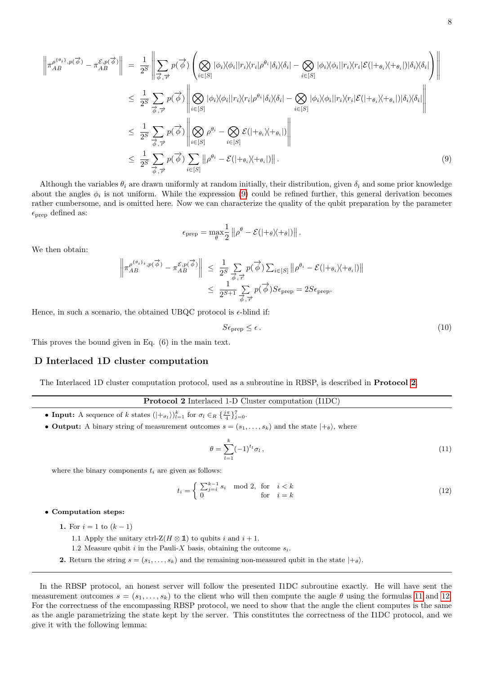$$
\left\| \pi_{AB}^{\rho^{(\theta_{i})},p(\overrightarrow{\phi})} - \pi_{AB}^{\mathcal{E},p(\overrightarrow{\phi})} \right\| = \frac{1}{2^{S}} \left\| \sum_{\overrightarrow{\phi},\overrightarrow{r}} p(\overrightarrow{\phi}) \left( \bigotimes_{i \in [S]} |\phi_{i} \rangle \langle \phi_{i} || r_{i} \rangle \langle r_{i} | \rho^{\theta_{i}} |\delta_{i} \rangle \langle \delta_{i} | - \bigotimes_{i \in [S]} |\phi_{i} \rangle \langle \phi_{i} || r_{i} \rangle \langle r_{i} | \mathcal{E} (| + \phi_{i} \rangle \langle + \phi_{i} |) |\delta_{i} \rangle \langle \delta_{i} | \right) \right\|
$$
  
\n
$$
\leq \frac{1}{2^{S}} \sum_{\overrightarrow{\phi},\overrightarrow{r}} p(\overrightarrow{\phi}) \left\| \bigotimes_{i \in [S]} |\phi_{i} \rangle \langle \phi_{i} || r_{i} \rangle \langle r_{i} | \rho^{\theta_{i}} |\delta_{i} \rangle \langle \delta_{i} | - \bigotimes_{i \in [S]} |\phi_{i} \rangle \langle \phi_{i} || r_{i} \rangle \langle r_{i} | \mathcal{E} (| + \phi_{i} \rangle \langle + \phi_{i} |) |\delta_{i} \rangle \langle \delta_{i} | \right\|
$$
  
\n
$$
\leq \frac{1}{2^{S}} \sum_{\overrightarrow{\phi},\overrightarrow{r}} p(\overrightarrow{\phi}) \left\| \bigotimes_{i \in [S]} \rho^{\theta_{i}} - \bigotimes_{i \in [S]} \mathcal{E} (| + \phi_{i} \rangle \langle + \phi_{i} |) \right\|
$$
  
\n
$$
\leq \frac{1}{2^{S}} \sum_{\overrightarrow{\phi},\overrightarrow{r}} p(\overrightarrow{\phi}) \sum_{i \in [S]} || \rho^{\theta_{i}} - \mathcal{E} (| + \phi_{i} \rangle \langle + \phi_{i} |) ||.
$$
 (9)

Although the variables  $\theta_i$  are drawn uniformly at random initially, their distribution, given  $\delta_i$  and some prior knowledge about the angles  $\phi_i$  is not uniform. While the expression [\(9\)](#page-6-0) could be refined further, this general derivation becomes rather cumbersome, and is omitted here. Now we can characterize the quality of the qubit preparation by the parameter  $\epsilon_{\text{prep}}$  defined as:

$$
\epsilon_{\text{prep}} = \max_{\theta} \frac{1}{2} ||\rho^{\theta} - \mathcal{E}(|+\theta\rangle\langle+\theta|)||.
$$

We then obtain:

$$
\left\| \pi_{AB}^{\rho^{\{\theta_i\}}i, p(\overrightarrow{\phi})} - \pi_{AB}^{\mathcal{E}, p(\overrightarrow{\phi})} \right\| \leq \frac{1}{2^S} \sum_{\overrightarrow{\phi}, \overrightarrow{r}} p(\overrightarrow{\phi}) \sum_{i \in [S]} \left\| \rho^{\theta_i} - \mathcal{E}(|+\theta_i \rangle + \theta_i|) \right\|
$$
  

$$
\leq \frac{1}{2^{S+1}} \sum_{\overrightarrow{\phi}, \overrightarrow{r}} p(\overrightarrow{\phi}) S \epsilon_{\text{prep}} = 2S \epsilon_{\text{prep}}.
$$

Hence, in such a scenario, the obtained UBQC protocol is  $\epsilon$ -blind if:

<span id="page-7-3"></span>
$$
S\epsilon_{\text{prep}} \leq \epsilon. \tag{10}
$$

This proves the bound given in Eq. (6) in the main text.

## D Interlaced 1D cluster computation

<span id="page-7-0"></span>The Interlaced 1D cluster computation protocol, used as a subroutine in RBSP, is described in Protocol [2](#page-7-0).

#### Protocol 2 Interlaced 1-D Cluster computation (I1DC)

- Input: A sequence of k states  $(|+_{\sigma_l}\rangle)_{l=1}^k$  for  $\sigma_l \in_R {\{\frac{j\pi}{4}\}}_{j=0}^7$ .
- Output: A binary string of measurement outcomes  $s = (s_1, \ldots, s_k)$  and the state  $|+\theta\rangle$ , where

<span id="page-7-1"></span>
$$
\theta = \sum_{l=1}^{k} (-1)^{t_l} \sigma_l \,, \tag{11}
$$

where the binary components  $t_i$  are given as follows:

<span id="page-7-2"></span>
$$
t_i = \begin{cases} \sum_{j=i}^{k-1} s_i \mod 2, & \text{for} \quad i < k \\ 0 & \text{for} \quad i = k \end{cases} \tag{12}
$$

## • Computation steps:

- 1. For  $i = 1$  to  $(k 1)$ 
	- 1.1 Apply the unitary ctrl-Z( $H \otimes \mathbb{1}$ ) to qubits i and  $i + 1$ .
	- 1.2 Measure qubit i in the Pauli-X basis, obtaining the outcome  $s_i$ .
- 2. Return the string  $s = (s_1, \ldots, s_k)$  and the remaining non-measured qubit in the state  $|+\theta\rangle$ .

In the RBSP protocol, an honest server will follow the presented I1DC subroutine exactly. He will have sent the measurement outcomes  $s = (s_1, \ldots, s_k)$  to the client who will then compute the angle  $\theta$  using the formulas [11](#page-7-1) and [12](#page-7-2). For the correctness of the encompassing RBSP protocol, we need to show that the angle the client computes is the same as the angle parametrizing the state kept by the server. This constitutes the correctness of the I1DC protocol, and we give it with the following lemma: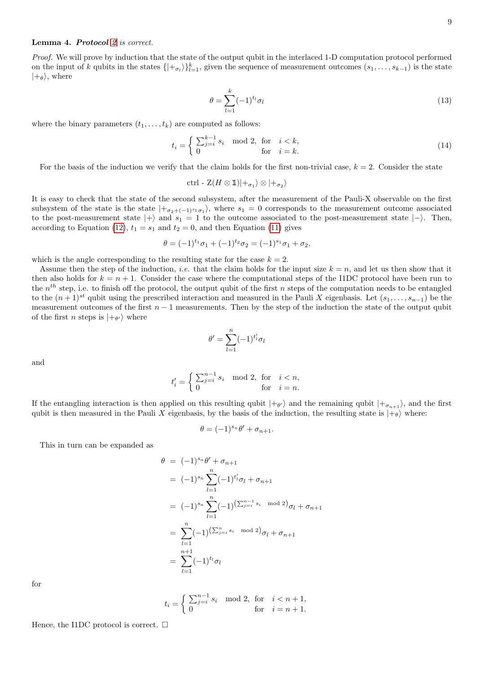<span id="page-8-0"></span>Proof. We will prove by induction that the state of the output qubit in the interlaced 1-D computation protocol performed on the input of k qubits in the states  $\{|+_{\sigma_l}\rangle\}_{l=1}^k$ , given the sequence of measurement outcomes  $(s_1, \ldots, s_{k-1})$  is the state  $|+\theta\rangle$ , where

$$
\theta = \sum_{l=1}^{k} (-1)^{t_l} \sigma_l \tag{13}
$$

where the binary parameters  $(t_1, \ldots, t_k)$  are computed as follows:

$$
t_i = \begin{cases} \sum_{j=i}^{k-1} s_i \mod 2, & \text{for} \quad i < k, \\ 0 & \text{for} \quad i = k. \end{cases} \tag{14}
$$

For the basis of the induction we verify that the claim holds for the first non-trivial case,  $k = 2$ . Consider the state

$$
\operatorname{ctrl} \cdot \operatorname{Z}(H \otimes \mathbb{1}) |+_{\sigma_1} \rangle \otimes |+_{\sigma_2} \rangle
$$

It is easy to check that the state of the second subsystem, after the measurement of the Pauli-X observable on the first subsystem of the state is the state  $|+_{\sigma_2+(-1)^{s_1}\sigma_1}\rangle$ , where  $s_1=0$  corresponds to the measurement outcome associated to the post-measurement state  $|+\rangle$  and  $s_1 = 1$  to the outcome associated to the post-measurement state  $|-\rangle$ . Then, according to Equation [\(12\)](#page-7-2),  $t_1 = s_1$  and  $t_2 = 0$ , and then Equation [\(11\)](#page-7-1) gives

$$
\theta = (-1)^{t_1} \sigma_1 + (-1)^{t_2} \sigma_2 = (-1)^{s_1} \sigma_1 + \sigma_2,
$$

which is the angle corresponding to the resulting state for the case  $k = 2$ .

Assume then the step of the induction, *i.e.* that the claim holds for the input size  $k = n$ , and let us then show that it then also holds for  $k = n + 1$ . Consider the case where the computational steps of the I1DC protocol have been run to the  $n<sup>th</sup>$  step, i.e. to finish off the protocol, the output qubit of the first n steps of the computation needs to be entangled to the  $(n+1)^{st}$  qubit using the prescribed interaction and measured in the Pauli X eigenbasis. Let  $(s_1, \ldots, s_{n-1})$  be the measurement outcomes of the first  $n - 1$  measurements. Then by the step of the induction the state of the output qubit of the first *n* steps is  $|+\theta\rangle$  where

$$
\theta' = \sum_{l=1}^n (-1)^{t'_l} \sigma_l
$$

and

$$
t_i' = \begin{cases} \sum_{j=i}^{n-1} s_i \mod 2, & \text{for} \quad i < n, \\ 0 & \text{for} \quad i = n. \end{cases}
$$

If the entangling interaction is then applied on this resulting qubit  $|+\theta\rangle$  and the remaining qubit  $|+\sigma_{n+1}\rangle$ , and the first qubit is then measured in the Pauli X eigenbasis, by the basis of the induction, the resulting state is  $|+\theta\rangle$  where:

$$
\theta = (-1)^{s_n} \theta' + \sigma_{n+1}.
$$

This in turn can be expanded as

$$
\theta = (-1)^{s_n} \theta' + \sigma_{n+1}
$$
  
\n
$$
= (-1)^{s_n} \sum_{l=1}^n (-1)^{t'_l} \sigma_l + \sigma_{n+1}
$$
  
\n
$$
= (-1)^{s_n} \sum_{l=1}^n (-1)^{(\sum_{j=i}^{n-1} s_i \mod 2)} \sigma_l + \sigma_{n+1}
$$
  
\n
$$
= \sum_{l=1}^n (-1)^{(\sum_{j=i}^n s_i \mod 2)} \sigma_l + \sigma_{n+1}
$$
  
\n
$$
= \sum_{l=1}^{n+1} (-1)^{t_l} \sigma_l
$$

for

$$
t_i = \begin{cases} \sum_{j=i}^{n-1} s_i \mod 2, & \text{for} \quad i < n+1, \\ 0 & \text{for} \quad i = n+1. \end{cases}
$$

Hence, the I1DC protocol is correct.  $\square$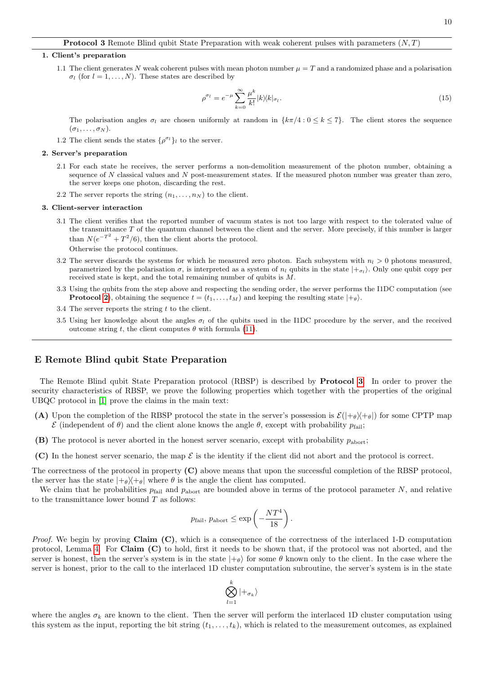#### <span id="page-9-0"></span>1. Client's preparation

1.1 The client generates N weak coherent pulses with mean photon number  $\mu = T$  and a randomized phase and a polarisation  $\sigma_l$  (for  $l = 1, ..., N$ ). These states are described by

$$
\rho^{\sigma_l} = e^{-\mu} \sum_{k=0}^{\infty} \frac{\mu^k}{k!} |k\rangle\langle k|_{\sigma_l}.
$$
\n(15)

The polarisation angles  $\sigma_l$  are chosen uniformly at random in  $\{k\pi/4: 0 \leq k \leq 7\}$ . The client stores the sequence  $(\sigma_1, \ldots, \sigma_N)$ .

1.2 The client sends the states  $\{\rho^{\sigma_l}\}_l$  to the server.

## 2. Server's preparation

- 2.1 For each state he receives, the server performs a non-demolition measurement of the photon number, obtaining a sequence of N classical values and N post-measurement states. If the measured photon number was greater than zero, the server keeps one photon, discarding the rest.
- 2.2 The server reports the string  $(n_1, \ldots, n_N)$  to the client.

#### 3. Client-server interaction

- 3.1 The client verifies that the reported number of vacuum states is not too large with respect to the tolerated value of the transmittance  $T$  of the quantum channel between the client and the server. More precisely, if this number is larger than  $N(e^{-T^2} + T^2/6)$ , then the client aborts the protocol. Otherwise the protocol continues.
- 3.2 The server discards the systems for which he measured zero photon. Each subsystem with  $n_l > 0$  photons measured, parametrized by the polarisation  $\sigma$ , is interpreted as a system of  $n_l$  qubits in the state  $|+_{\sigma_l}\rangle$ . Only one qubit copy per received state is kept, and the total remaining number of qubits is M.
- 3.3 Using the qubits from the step above and respecting the sending order, the server performs the I1DC computation (see **Protocol [2](#page-7-0)**), obtaining the sequence  $t = (t_1, \ldots, t_M)$  and keeping the resulting state  $|+\theta\rangle$ .
- 3.4 The server reports the string  $t$  to the client.
- 3.5 Using her knowledge about the angles  $\sigma_l$  of the qubits used in the I1DC procedure by the server, and the received outcome string t, the client computes θ with formula [\(11\)](#page-7-1).

## E Remote Blind qubit State Preparation

The Remote Blind qubit State Preparation protocol (RBSP) is described by Protocol [3](#page-9-0). In order to prover the security characteristics of RBSP, we prove the following properties which together with the properties of the original UBQC protocol in [\[1\]](#page-14-0) prove the claims in the main text:

- (A) Upon the completion of the RBSP protocol the state in the server's possession is  $\mathcal{E}(|+\theta\rangle+\theta|)$  for some CPTP map  $\mathcal E$  (independent of  $\theta$ ) and the client alone knows the angle  $\theta$ , except with probability  $p_{\text{fail}}$ ;
- **(B)** The protocol is never aborted in the honest server scenario, except with probability  $p_{\text{abort}}$ ;
- (C) In the honest server scenario, the map  $\mathcal E$  is the identity if the client did not abort and the protocol is correct.

The correctness of the protocol in property (C) above means that upon the successful completion of the RBSP protocol, the server has the state  $|+\theta\rangle+\theta|$  where  $\theta$  is the angle the client has computed.

We claim that he probabilities  $p_{fail}$  and  $p_{abort}$  are bounded above in terms of the protocol parameter N, and relative to the transmittance lower bound  $T$  as follows:

$$
p_{\text{fail}}, p_{\text{abort}} \le \exp\left(-\frac{NT^4}{18}\right).
$$

*Proof.* We begin by proving Claim  $(C)$ , which is a consequence of the correctness of the interlaced 1-D computation protocol, Lemma [4.](#page-8-0) For Claim (C) to hold, first it needs to be shown that, if the protocol was not aborted, and the server is honest, then the server's system is in the state  $|+\theta\rangle$  for some  $\theta$  known only to the client. In the case where the server is honest, prior to the call to the interlaced 1D cluster computation subroutine, the server's system is in the state

$$
\bigotimes_{l=1}^k|+_{\sigma_k}\rangle
$$

where the angles  $\sigma_k$  are known to the client. Then the server will perform the interlaced 1D cluster computation using this system as the input, reporting the bit string  $(t_1, \ldots, t_k)$ , which is related to the measurement outcomes, as explained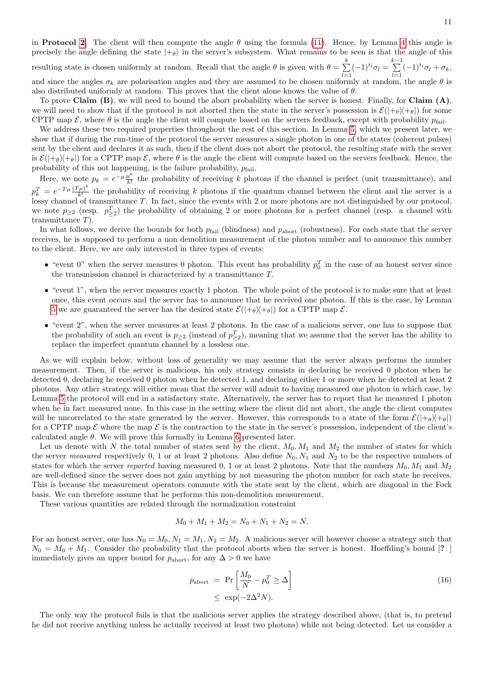in Protocol [2](#page-7-0). The client will then compute the angle  $\theta$  using the formula [\(11\)](#page-7-1). Hence, by Lemma [4](#page-8-0) this angle is precisely the angle defining the state  $|+\theta\rangle$  in the server's subsystem. What remains to be seen is that the angle of this resulting state is chosen uniformly at random. Recall that the angle  $\theta$  is given with  $\theta = \sum_{k=1}^{k}$  $\sum_{l=1}^{k} (-1)^{t_l} \sigma_l = \sum_{l=1}^{k-1}$  $\sum_{l=1}^{\infty} (-1)^{t_l} \sigma_l + \sigma_k,$ and since the angles  $\sigma_k$  are polarisation angles and they are assumed to be chosen uniformly at random, the angle  $\theta$  is also distributed uniformly at random. This proves that the client alone knows the value of  $\theta$ .

To prove Claim  $(B)$ , we will need to bound the abort probability when the server is honest. Finally, for Claim  $(A)$ , we will need to show that if the protocol is not aborted then the state in the server's possession is  $\mathcal{E}(|+\theta\rangle+\theta|)$  for some CPTP map  $\mathcal{E}$ , where  $\theta$  is the angle the client will compute based on the servers feedback, except with probability  $p_{\text{fail}}$ .

We address these two required properties throughout the rest of this section. In Lemma [5,](#page-11-0) which we present later, we show that if during the run-time of the protocol the server measures a single photon in one of the states (coherent pulses) sent by the client and declares it as such, then if the client does not abort the protocol, the resulting state with the server is  $\mathcal{E}(|+\theta\rangle + \theta|)$  for a CPTP map  $\mathcal{E}$ , where  $\theta$  is the angle the client will compute based on the servers feedback. Hence, the probability of this not happening, is the failure probability,  $p_{\text{fail}}$ .

Here, we note  $p_k = e^{-\mu} \frac{\mu^k}{k!}$  $\frac{\mu^{2}}{k!}$  the probability of receiving k photons if the channel is perfect (unit transmittance), and  $p_k^T = e^{-T\mu} \frac{(T\mu)^k}{k!}$  $\frac{\mu}{k!}$  the probability of receiving k photons if the quantum channel between the client and the server is a lossy channel of transmittance  $T$ . In fact, since the events with 2 or more photons are not distinguished by our protocol, we note  $p_{\geq 2}$  (resp.  $p_{\geq 2}^T$ ) the probability of obtaining 2 or more photons for a perfect channel (resp. a channel with transmittance T).

In what follows, we derive the bounds for both  $p_{fail}$  (blindness) and  $p_{abort}$  (robustness). For each state that the server receives, he is supposed to perform a non demolition measurement of the photon number and to announce this number to the client. Here, we are only interested in three types of events:

- "event 0" when the server measures 0 photon. This event has probability  $p_0^T$  in the case of an honest server since the transmission channel is characterized by a transmittance  $T$ .
- "event 1", when the server measures exactly 1 photon. The whole point of the protocol is to make sure that at least once, this event occurs and the server has to announce that he received one photon. If this is the case, by Lemma [5](#page-11-0) we are guaranteed the server has the desired state  $\mathcal{E}(|+\theta\rangle+\theta|)$  for a CPTP map  $\mathcal{E}$ .
- "event 2", when the server measures at least 2 photons. In the case of a malicious server, one has to suppose that the probability of such an event is  $p_{\geq 2}$  (instead of  $p_{\geq 2}^T$ ), meaning that we assume that the server has the ability to replace the imperfect quantum channel by a lossless one.

As we will explain below, without loss of generality we may assume that the server always performs the number measurement. Then, if the server is malicious, his only strategy consists in declaring he received 0 photon when he detected 0, declaring he received 0 photon when he detected 1, and declaring either 1 or more when he detected at least 2 photons. Any other strategy will either mean that the server will admit to having measured one photon in which case, by Lemma [5](#page-11-0) the protocol will end in a satisfactory state. Alternatively, the server has to report that he measured 1 photon when he in fact measured none. In this case in the setting where the client did not abort, the angle the client computes will be uncorrelated to the state generated by the server. However, this corresponds to a state of the form  $\mathcal{E}(|+\theta\rangle+\theta|)$ for a CPTP map  $\mathcal E$  where the map  $\mathcal E$  is the contraction to the state in the server's possession, independent of the client's calculated angle  $\theta$ . We will prove this formally in Lemma [6](#page-13-0) presented later.

Let us denote with N the total number of states sent by the client,  $M_0, M_1$  and  $M_2$  the number of states for which the server measured respectively 0, 1 or at least 2 photons. Also define  $N_0, N_1$  and  $N_2$  to be the respective numbers of states for which the server reported having measured 0, 1 or at least 2 photons. Note that the numbers  $M_0, M_1$  and  $M_2$ are well-defined since the server does not gain anything by not measuring the photon number for each state he receives. This is because the measurement operators commute with the state sent by the client, which are diagonal in the Fock basis. We can therefore assume that he performs this non-demolition measurement.

These various quantities are related through the normalization constraint

$$
M_0 + M_1 + M_2 = N_0 + N_1 + N_2 = N.
$$

For an honest server, one has  $N_0 = M_0$ ,  $N_1 = M_1$ ,  $N_2 = M_2$ . A malicious server will however choose a strategy such that  $N_0 = M_0 + M_1$ . Consider the probability that the protocol aborts when the server is honest. Hoeffding's bound [? ] immediately gives an upper bound for  $p_{\text{abort}}$ , for any  $\Delta > 0$  we have

$$
p_{\text{abort}} = \Pr\left[\frac{M_0}{N} - p_0^T \ge \Delta\right]
$$
  

$$
\le \exp(-2\Delta^2 N).
$$
 (16)

The only way the protocol fails is that the malicious server applies the strategy described above, (that is, to pretend he did not receive anything unless he actually received at least two photons) while not being detected. Let us consider a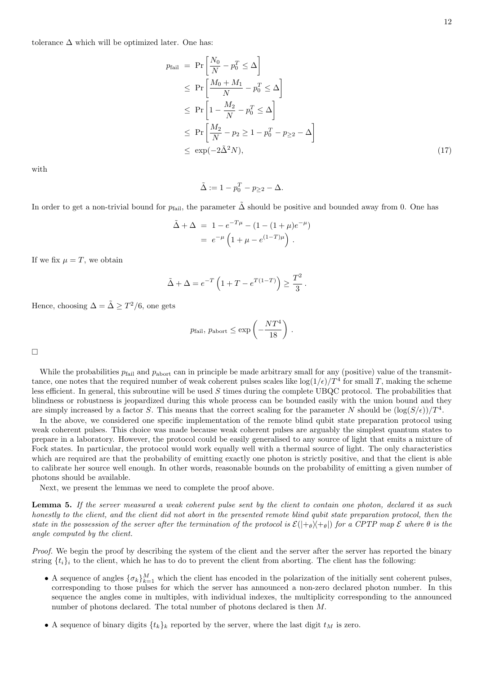tolerance  $\Delta$  which will be optimized later. One has:

$$
p_{\text{fail}} = \Pr\left[\frac{N_0}{N} - p_0^T \le \Delta\right]
$$
  
\n
$$
\le \Pr\left[\frac{M_0 + M_1}{N} - p_0^T \le \Delta\right]
$$
  
\n
$$
\le \Pr\left[1 - \frac{M_2}{N} - p_0^T \le \Delta\right]
$$
  
\n
$$
\le \Pr\left[\frac{M_2}{N} - p_2 \ge 1 - p_0^T - p_{\ge 2} - \Delta\right]
$$
  
\n
$$
\le \exp(-2\tilde{\Delta}^2 N), \tag{17}
$$

with

<span id="page-11-1"></span>
$$
\tilde{\Delta} := 1 - p_0^T - p_{\geq 2} - \Delta.
$$

In order to get a non-trivial bound for  $p_{fail}$ , the parameter  $\Delta$  should be positive and bounded away from 0. One has

$$
\tilde{\Delta} + \Delta = 1 - e^{-T\mu} - (1 - (1 + \mu)e^{-\mu})
$$

$$
= e^{-\mu} \left( 1 + \mu - e^{(1-T)\mu} \right).
$$

If we fix  $\mu = T$ , we obtain

$$
\tilde{\Delta} + \Delta = e^{-T} \left( 1 + T - e^{T(1-T)} \right) \ge \frac{T^2}{3}.
$$

Hence, choosing  $\Delta = \tilde{\Delta} \geq T^2/6$ , one gets

$$
p_{\text{fail}},\,p_{\text{abort}}\leq \exp\left(-\frac{NT^4}{18}\right)\,.
$$

 $\Box$ 

While the probabilities  $p_{fail}$  and  $p_{abort}$  can in principle be made arbitrary small for any (positive) value of the transmittance, one notes that the required number of weak coherent pulses scales like  $\log(1/\epsilon)/T^4$  for small T, making the scheme less efficient. In general, this subroutine will be used  $S$  times during the complete UBQC protocol. The probabilities that blindness or robustness is jeopardized during this whole process can be bounded easily with the union bound and they are simply increased by a factor S. This means that the correct scaling for the parameter N should be  $(\log(S/\epsilon))/T^4$ .

In the above, we considered one specific implementation of the remote blind qubit state preparation protocol using weak coherent pulses. This choice was made because weak coherent pulses are arguably the simplest quantum states to prepare in a laboratory. However, the protocol could be easily generalised to any source of light that emits a mixture of Fock states. In particular, the protocol would work equally well with a thermal source of light. The only characteristics which are required are that the probability of emitting exactly one photon is strictly positive, and that the client is able to calibrate her source well enough. In other words, reasonable bounds on the probability of emitting a given number of photons should be available.

Next, we present the lemmas we need to complete the proof above.

<span id="page-11-0"></span>Lemma 5. If the server measured a weak coherent pulse sent by the client to contain one photon, declared it as such honestly to the client, and the client did not abort in the presented remote blind qubit state preparation protocol, then the state in the possession of the server after the termination of the protocol is  $\mathcal{E}(|+\theta\rangle+\theta|)$  for a CPTP map  $\mathcal E$  where  $\theta$  is the angle computed by the client.

Proof. We begin the proof by describing the system of the client and the server after the server has reported the binary string  $\{t_i\}_i$  to the client, which he has to do to prevent the client from aborting. The client has the following:

- A sequence of angles  $\{\sigma_k\}_{k=1}^M$  which the client has encoded in the polarization of the initially sent coherent pulses, corresponding to those pulses for which the server has announced a non-zero declared photon number. In this sequence the angles come in multiples, with individual indexes, the multiplicity corresponding to the announced number of photons declared. The total number of photons declared is then M.
- A sequence of binary digits  $\{t_k\}_k$  reported by the server, where the last digit  $t_M$  is zero.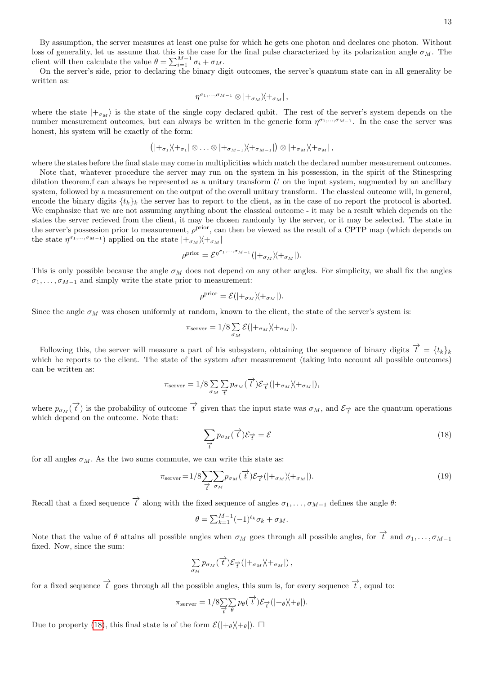13

By assumption, the server measures at least one pulse for which he gets one photon and declares one photon. Without loss of generality, let us assume that this is the case for the final pulse characterized by its polarization angle  $\sigma_M$ . The client will then calculate the value  $\theta = \sum_{i=1}^{M-1} \sigma_i + \sigma_M$ .

On the server's side, prior to declaring the binary digit outcomes, the server's quantum state can in all generality be written as:

$$
\eta^{\sigma_{1},...,\sigma_{M-1}}\otimes|+_{\sigma_{M}}\rangle\!\langle+_{\sigma_{M}}| \,,
$$

where the state  $|+_{\sigma_M}\rangle$  is the state of the single copy declared qubit. The rest of the server's system depends on the number measurement outcomes, but can always be written in the generic form  $\eta^{\sigma_1,\ldots,\sigma_{M-1}}$ . In the case the server was honest, his system will be exactly of the form:

$$
(|+_{\sigma_1}\rangle\langle+_{\sigma_1}|\otimes\ldots\otimes|+_{\sigma_{M-1}}\rangle\langle+_{\sigma_{M-1}}|)\otimes|+_{\sigma_M}\rangle\langle+_{\sigma_M}|,
$$

where the states before the final state may come in multiplicities which match the declared number measurement outcomes.

Note that, whatever procedure the server may run on the system in his possession, in the spirit of the Stinespring dilation theorem, f can always be represented as a unitary transform  $U$  on the input system, augmented by an ancillary system, followed by a measurement on the output of the overall unitary transform. The classical outcome will, in general, encode the binary digits  $\{t_k\}_k$  the server has to report to the client, as in the case of no report the protocol is aborted. We emphasize that we are not assuming anything about the classical outcome - it may be a result which depends on the states the server recieved from the client, it may be chosen randomly by the server, or it may be selected. The state in the server's possession prior to measurement,  $\rho^{\text{prior}}$ , can then be viewed as the result of a CPTP map (which depends on the state  $\eta^{\sigma_1,...,\sigma_{M-1}}$  applied on the state  $|+_{\sigma_M}\rangle\langle+_{\sigma_M}|$ 

$$
\rho^{\text{prior}} = \mathcal{E}^{\eta^{\sigma_1,\dots,\sigma_{M-1}}}(|+_{\sigma_M}\rangle\!\langle +_{\sigma_M}|).
$$

This is only possible because the angle  $\sigma_M$  does not depend on any other angles. For simplicity, we shall fix the angles  $\sigma_1, \ldots, \sigma_{M-1}$  and simply write the state prior to measurement:

$$
\rho^{\text{prior}} = \mathcal{E}(|+_{\sigma_M} \rangle +_{\sigma_M}|).
$$

Since the angle  $\sigma_M$  was chosen uniformly at random, known to the client, the state of the server's system is:

$$
\pi_{\text{server}} = 1/8 \sum_{\sigma_M} \mathcal{E}(|+\sigma_M \rangle + \sigma_M|).
$$

Following this, the server will measure a part of his subsystem, obtaining the sequence of binary digits  $\vec{t} = \{t_k\}_k$ which he reports to the client. The state of the system after measurement (taking into account all possible outcomes) can be written as:

$$
\pi_{\text{server}} = 1/8 \sum_{\sigma_M} \sum_{\vec{t}} p_{\sigma_M}(\vec{t}) \mathcal{E}_{\vec{t}}(|+_{\sigma_M} \lambda +_{\sigma_M}|),
$$

where  $p_{\sigma_M}(\vec{t})$  is the probability of outcome  $\vec{t}$  given that the input state was  $\sigma_M$ , and  $\mathcal{E}_{\vec{t}}$  are the quantum operations which depend on the outcome. Note that:

$$
\sum_{\overrightarrow{t}} p_{\sigma_M}(\overrightarrow{t}) \mathcal{E}_{\overrightarrow{t}} = \mathcal{E}
$$
\n(18)

for all angles  $\sigma_M$ . As the two sums commute, we can write this state as:

$$
\pi_{\text{server}} = 1/8 \sum_{\vec{\tau}} \sum_{\sigma_M} p_{\sigma_M}(\vec{\tau}) \mathcal{E}_{\vec{\tau}}(|+_{\sigma_M} \rangle +_{\sigma_M}|). \tag{19}
$$

Recall that a fixed sequence  $\overrightarrow{t}$  along with the fixed sequence of angles  $\sigma_1, \ldots, \sigma_{M-1}$  defines the angle  $\theta$ :

$$
\theta = \sum_{k=1}^{M-1} (-1)^{t_k} \sigma_k + \sigma_M.
$$

Note that the value of  $\theta$  attains all possible angles when  $\sigma_M$  goes through all possible angles, for  $\overrightarrow{t}$  and  $\sigma_1, \ldots, \sigma_{M-1}$ fixed. Now, since the sum:

$$
\sum_{\sigma_M} p_{\sigma_M}(\overrightarrow{t}) \mathcal{E}_{\overrightarrow{t}}(|+_{\sigma_M} \rangle +_{\sigma_M}|),
$$

for a fixed sequence  $\overrightarrow{t}$  goes through all the possible angles, this sum is, for every sequence  $\overrightarrow{t}$ , equal to:

$$
\pi_{\text{server}} = 1/8 \sum_{\overrightarrow{t}} \sum_{\theta} p_{\theta}(\overrightarrow{t}) \mathcal{E}_{\overrightarrow{t}}(|+\theta \rangle + \theta|).
$$

Due to property [\(18\)](#page-11-1), this final state is of the form  $\mathcal{E}(|+\theta\rangle+\theta|)$ .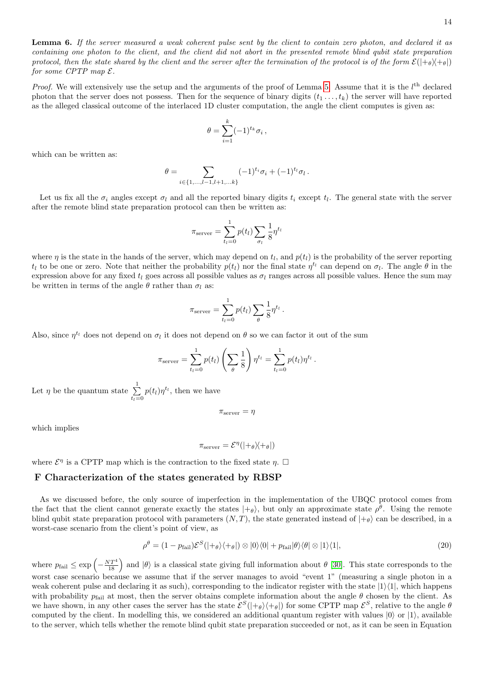<span id="page-13-0"></span>Lemma 6. If the server measured a weak coherent pulse sent by the client to contain zero photon, and declared it as containing one photon to the client, and the client did not abort in the presented remote blind qubit state preparation protocol, then the state shared by the client and the server after the termination of the protocol is of the form  $\mathcal{E}(|+\theta\rangle+\theta|)$ for some CPTP map  $\mathcal{E}.$ 

*Proof.* We will extensively use the setup and the arguments of the proof of Lemma [5.](#page-11-0) Assume that it is the  $l<sup>th</sup>$  declared photon that the server does not possess. Then for the sequence of binary digits  $(t_1, \ldots, t_k)$  the server will have reported as the alleged classical outcome of the interlaced 1D cluster computation, the angle the client computes is given as:

<span id="page-13-1"></span>
$$
\theta = \sum_{i=1}^k (-1)^{t_k} \sigma_i ,
$$

which can be written as:

$$
\theta = \sum_{i \in \{1, \dots, l-1, l+1, \dots k\}} (-1)^{t_i} \sigma_i + (-1)^{t_l} \sigma_l.
$$

Let us fix all the  $\sigma_i$  angles except  $\sigma_l$  and all the reported binary digits  $t_i$  except  $t_l$ . The general state with the server after the remote blind state preparation protocol can then be written as:

$$
\pi_{\text{server}} = \sum_{t_l=0}^{1} p(t_l) \sum_{\sigma_l} \frac{1}{8} \eta^{t_l}
$$

where  $\eta$  is the state in the hands of the server, which may depend on  $t_l$ , and  $p(t_l)$  is the probability of the server reporting  $t_l$  to be one or zero. Note that neither the probability  $p(t_l)$  nor the final state  $\eta^{t_l}$  can depend on  $\sigma_l$ . The angle  $\theta$  in the expression above for any fixed  $t_l$  goes across all possible values as  $\sigma_l$  ranges across all possible values. Hence the sum may be written in terms of the angle  $\theta$  rather than  $\sigma_l$  as:

$$
\pi_{\text{server}} = \sum_{t_l=0}^1 p(t_l) \sum_{\theta} \frac{1}{8} \eta^{t_l}.
$$

Also, since  $\eta^{t_l}$  does not depend on  $\sigma_l$  it does not depend on  $\theta$  so we can factor it out of the sum

$$
\pi_{\text{server}} = \sum_{t_l=0}^{1} p(t_l) \left( \sum_{\theta} \frac{1}{8} \right) \eta^{t_l} = \sum_{t_l=0}^{1} p(t_l) \eta^{t_l}.
$$

Let  $\eta$  be the quantum state  $\sum_{ }^{1}$  $\sum_{t_l=0} p(t_l) \eta^{t_l}$ , then we have

 $\pi_{\text{server}} = \eta$ 

which implies

$$
\pi_{\text{server}} = \mathcal{E}^{\eta}(|+\theta\rangle\!\langle+\theta|)
$$

where  $\mathcal{E}^{\eta}$  is a CPTP map which is the contraction to the fixed state  $\eta$ .  $\Box$ 

## F Characterization of the states generated by RBSP

As we discussed before, the only source of imperfection in the implementation of the UBQC protocol comes from the fact that the client cannot generate exactly the states  $|+\theta\rangle$ , but only an approximate state  $\rho^{\theta}$ . Using the remote blind qubit state preparation protocol with parameters  $(N, T)$ , the state generated instead of  $|+\theta\rangle$  can be described, in a worst-case scenario from the client's point of view, as

$$
\rho^{\theta} = (1 - p_{\text{fail}}) \mathcal{E}^{S}(|+\theta\rangle\langle+\theta|) \otimes |0\rangle\langle0| + p_{\text{fail}}|\theta\rangle\langle\theta| \otimes |1\rangle\langle1|,\tag{20}
$$

where  $p_{\text{fail}} \le \exp\left(-\frac{NT^4}{18}\right)$  and  $|\theta\rangle$  is a classical state giving full information about  $\theta$  [\[30\]](#page-15-0). This state corresponds to the worst case scenario because we assume that if the server manages to avoid "event 1" (measuring a single photon in a weak coherent pulse and declaring it as such), corresponding to the indicator register with the state  $|1\rangle\langle 1|$ , which happens with probability  $p_{\text{fail}}$  at most, then the server obtains complete information about the angle  $\theta$  chosen by the client. As we have shown, in any other cases the server has the state  $\mathcal{E}^S(|+\theta\rangle\langle+\theta|)$  for some CPTP map  $\mathcal{E}^S$ , relative to the angle  $\theta$ computed by the client. In modelling this, we considered an additional quantum register with values  $|0\rangle$  or  $|1\rangle$ , available to the server, which tells whether the remote blind qubit state preparation succeeded or not, as it can be seen in Equation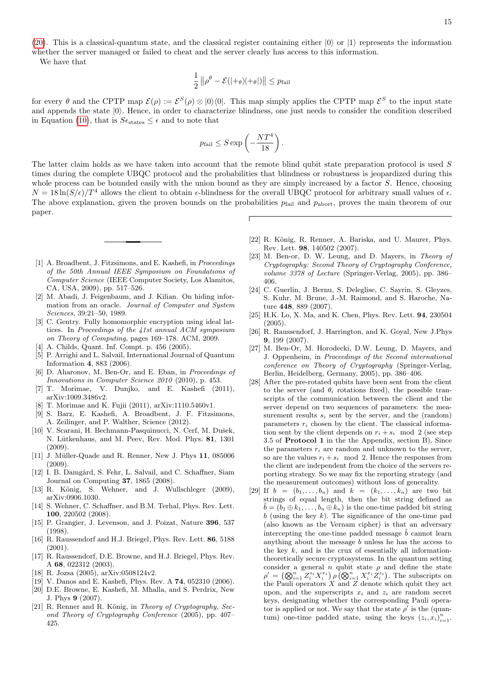[\(20\)](#page-13-1). This is a classical-quantum state, and the classical register containing either  $|0\rangle$  or  $|1\rangle$  represents the information whether the server managed or failed to cheat and the server clearly has access to this information.

We have that

$$
\frac{1}{2} ||\rho^{\theta} - \mathcal{E}(|+\theta\rangle\!\langle +\theta|)| \leq p_{\mathrm{fail}}
$$

for every  $\theta$  and the CPTP map  $\mathcal{E}(\rho) := \mathcal{E}^S(\rho) \otimes |0\rangle\langle 0|$ . This map simply applies the CPTP map  $\mathcal{E}^S$  to the input state and appends the state  $|0\rangle$ . Hence, in order to characterize blindness, one just needs to consider the condition described in Equation [\(10\)](#page-7-3), that is  $S\epsilon_{\text{states}} \leq \epsilon$  and to note that

$$
p_{\text{fail}} \le S \exp\left(-\frac{NT^4}{18}\right).
$$

The latter claim holds as we have taken into account that the remote blind qubit state preparation protocol is used S times during the complete UBQC protocol and the probabilities that blindness or robustness is jeopardized during this whole process can be bounded easily with the union bound as they are simply increased by a factor S. Hence, choosing  $N = 18 \ln(S/\epsilon)/T^4$  allows the client to obtain  $\epsilon$ -blindness for the overall UBQC protocol for arbitrary small values of  $\epsilon$ . The above explanation, given the proven bounds on the probabilities  $p_{\text{fail}}$  and  $p_{\text{abort}}$ , proves the main theorem of our paper.

- <span id="page-14-0"></span>[1] A. Broadbent, J. Fitzsimons, and E. Kashefi, in Proceedings of the 50th Annual IEEE Symposium on Foundations of Computer Science (IEEE Computer Society, Los Alamitos, CA, USA, 2009), pp. 517–526.
- <span id="page-14-1"></span>[2] M. Abadi, J. Feigenbaum, and J. Kilian. On hiding information from an oracle. Journal of Computer and System Sciences, 39:21–50, 1989.
- <span id="page-14-2"></span>[3] C. Gentry. Fully homomorphic encryption using ideal lattices. In Proceedings of the 41st annual ACM symposium on Theory of Computing, pages 169–178. ACM, 2009.
- <span id="page-14-3"></span>[4] A. Childs, Quant. Inf. Compt. p. 456 (2005).
- [5] P. Arrighi and L. Salvail, International Journal of Quantum Information 4, 883 (2006).
- [6] D. Aharonov, M. Ben-Or, and E. Eban, in Proceedings of Innovations in Computer Science 2010 (2010), p. 453.
- <span id="page-14-4"></span>[7] T. Morimae, V. Dunjko, and E. Kashefi (2011), arXiv:1009.3486v2.
- <span id="page-14-5"></span>[8] T. Morimae and K. Fujii (2011), arXiv:1110.5460v1.
- <span id="page-14-6"></span>[9] S. Barz, E. Kashefi, A. Broadbent, J. F. Fitzsimons, A. Zeilinger, and P. Walther, Science (2012).
- <span id="page-14-7"></span>[10] V. Scarani, H. Bechmann-Pasquinucci, N. Cerf, M. Dušek, N. Lütkenhaus, and M. Peev, Rev. Mod. Phys. 81, 1301 (2009).
- <span id="page-14-8"></span>[11] J. Müller-Quade and R. Renner, New J. Phys 11, 085006  $(2009)$ .
- <span id="page-14-10"></span>[12] I. B. Damgård, S. Fehr, L. Salvail, and C. Schaffner, Siam Journal on Computing 37, 1865 (2008).
- [13] R. König, S. Wehner, and J. Wullschleger (2009), arXiv:0906.1030.
- <span id="page-14-11"></span>[14] S. Wehner, C. Schaffner, and B.M. Terhal, Phys. Rev. Lett. 100, 220502 (2008).
- <span id="page-14-12"></span>[15] P. Grangier, J. Levenson, and J. Poizat, Nature 396, 537 (1998).
- <span id="page-14-13"></span>[16] R. Raussendorf and H.J. Briegel, Phys. Rev. Lett. 86, 5188 (2001).
- [17] R. Raussendorf, D.E. Browne, and H.J. Briegel, Phys. Rev. A 68, 022312 (2003).
- <span id="page-14-14"></span>[18] R. Jozsa (2005), arXiv:0508124v2.
- <span id="page-14-15"></span>[19] V. Danos and E. Kashefi, Phys. Rev. A 74, 052310 (2006).
- <span id="page-14-16"></span>[20] D.E. Browne, E. Kashefi, M. Mhalla, and S. Perdrix, New J. Phys 9 (2007).
- <span id="page-14-18"></span>[21] R. Renner and R. König, in Theory of Cryptography, Second Theory of Cryptography Conference (2005), pp. 407– 425.
- [22] R. König, R. Renner, A. Bariska, and U. Maurer, Phys. Rev. Lett. 98, 140502 (2007).
- <span id="page-14-19"></span>[23] M. Ben-or, D. W. Leung, and D. Mayers, in Theory of Cryptography: Second Theory of Cryptography Conference, volume 3378 of Lecture (Springer-Verlag, 2005), pp. 386– 406.
- <span id="page-14-20"></span>[24] C. Guerlin, J. Bernu, S. Deleglise, C. Sayrin, S. Gleyzes, S. Kuhr, M. Brune, J.-M. Raimond, and S. Haroche, Nature 448, 889 (2007).
- <span id="page-14-22"></span>[25] H.K. Lo, X. Ma, and K. Chen, Phys. Rev. Lett. 94, 230504 (2005).
- <span id="page-14-21"></span>[26] R. Raussendorf, J. Harrington, and K. Goyal, New J.Phys 9, 199 (2007).
- <span id="page-14-9"></span>[27] M. Ben-Or, M. Horodecki, D.W. Leung, D. Mayers, and J. Oppenheim, in Proceedings of the Second international conference on Theory of Cryptography (Springer-Verlag, Berlin, Heidelberg, Germany, 2005), pp. 386–406.
- <span id="page-14-17"></span>[28] After the pre-rotated qubits have been sent from the client to the server (and  $\theta_i$  rotations fixed), the possible transcripts of the communication between the client and the server depend on two sequences of parameters: the measurement results  $s_i$  sent by the server, and the (random) parameters  $r_i$  chosen by the client. The classical information sent by the client depends on  $r_i + s_i \mod 2$  (see step 3.5 of Protocol 1 in the the Appendix, section B). Since the parameters  $r_i$  are random and unknown to the server, so are the values  $r_i + s_i \mod 2$ . Hence the responses from the client are independent from the choice of the servers reporting strategy. So we may fix the reporting strategy (and the measurement outcomes) without loss of generality.
- <span id="page-14-23"></span>[29] If  $b = (b_1, \ldots, b_n)$  and  $k = (k_1, \ldots, k_n)$  are two bit strings of equal length, then the bit string defined as  $\hat{b} = (b_1 \oplus k_1, \ldots, b_n \oplus k_n)$  is the one-time padded bit string  $b$  (using the key  $k$ ). The significance of the one-time pad (also known as the Vernam cipher) is that an adversary intercepting the one-time padded message  $\tilde{b}$  cannot learn anything about the message  $b$  unless he has the access to the key  $k$ , and is the crux of essentially all informationtheoretically secure cryptosystems. In the quantum setting consider a general n qubit state  $\rho$  and define the state  $\rho' = (\bigotimes_{i=1}^n Z_i^{z_i} X_i^{x_i}) \rho \tilde{(\bigotimes_{i=1}^n X_i^{x_i} Z_i^{z_i})}$ . The subscripts on the Pauli operators  $X$  and  $Z$  denote which qubit they act upon, and the superscripts  $x_i$  and  $z_i$  are random secret keys, designating whether the corresponding Pauli operator is applied or not. We say that the state  $\rho'$  is the (quantum) one-time padded state, using the keys  $(z_i, x_i)_{i=1}^n$ .